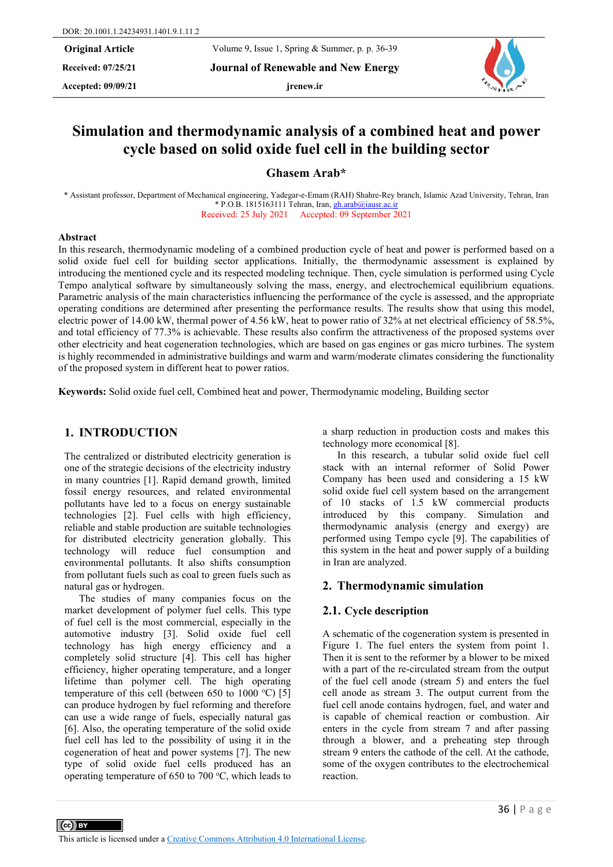**Received: 07/25/21 Journal of Renewable and New Energy**

**Accepted: 09/09/21 jrenew.ir**



# **Simulation and thermodynamic analysis of a combined heat and power cycle based on solid oxide fuel cell in the building sector**

**Ghasem Arab\*** 

\* Assistant professor, Department of Mechanical engineering, Yadegar-e-Emam (RAH) Shahre-Rey branch, Islamic Azad University, Tehran, Iran \* P.O.B. 1815163111 Tehran, Iran, [gh.arab@iausr.ac.ir](mailto:gh.arab@iausr.ac.ir) Received: 25 July 2021 Accepted: 09 September 2021

#### **Abstract**

In this research, thermodynamic modeling of a combined production cycle of heat and power is performed based on a solid oxide fuel cell for building sector applications. Initially, the thermodynamic assessment is explained by introducing the mentioned cycle and its respected modeling technique. Then, cycle simulation is performed using Cycle Tempo analytical software by simultaneously solving the mass, energy, and electrochemical equilibrium equations. Parametric analysis of the main characteristics influencing the performance of the cycle is assessed, and the appropriate operating conditions are determined after presenting the performance results. The results show that using this model, electric power of 14.00 kW, thermal power of 4.56 kW, heat to power ratio of 32% at net electrical efficiency of 58.5%, and total efficiency of 77.3% is achievable. These results also confirm the attractiveness of the proposed systems over other electricity and heat cogeneration technologies, which are based on gas engines or gas micro turbines. The system is highly recommended in administrative buildings and warm and warm/moderate climates considering the functionality of the proposed system in different heat to power ratios.

**Keywords:** Solid oxide fuel cell, Combined heat and power, Thermodynamic modeling, Building sector

# **1. INTRODUCTION**

The centralized or distributed electricity generation is one of the strategic decisions of the electricity industry in many countries [1]. Rapid demand growth, limited fossil energy resources, and related environmental pollutants have led to a focus on energy sustainable technologies [2]. Fuel cells with high efficiency, reliable and stable production are suitable technologies for distributed electricity generation globally. This technology will reduce fuel consumption and environmental pollutants. It also shifts consumption from pollutant fuels such as coal to green fuels such as natural gas or hydrogen.

The studies of many companies focus on the market development of polymer fuel cells. This type of fuel cell is the most commercial, especially in the automotive industry [3]. Solid oxide fuel cell technology has high energy efficiency and a completely solid structure [4]. This cell has higher efficiency, higher operating temperature, and a longer lifetime than polymer cell. The high operating temperature of this cell (between 650 to  $1000 °C$ ) [5] can produce hydrogen by fuel reforming and therefore can use a wide range of fuels, especially natural gas [6]. Also, the operating temperature of the solid oxide fuel cell has led to the possibility of using it in the cogeneration of heat and power systems [7]. The new type of solid oxide fuel cells produced has an operating temperature of 650 to 700  $\degree$ C, which leads to

a sharp reduction in production costs and makes this technology more economical [8].

In this research, a tubular solid oxide fuel cell stack with an internal reformer of Solid Power Company has been used and considering a 15 kW solid oxide fuel cell system based on the arrangement of 10 stacks of 1.5 kW commercial products introduced by this company. Simulation and thermodynamic analysis (energy and exergy) are performed using Tempo cycle [9]. The capabilities of this system in the heat and power supply of a building in Iran are analyzed.

# **2. Thermodynamic simulation**

## **2.1. Cycle description**

A schematic of the cogeneration system is presented in Figure 1. The fuel enters the system from point 1. Then it is sent to the reformer by a blower to be mixed with a part of the re-circulated stream from the output of the fuel cell anode (stream 5) and enters the fuel cell anode as stream 3. The output current from the fuel cell anode contains hydrogen, fuel, and water and is capable of chemical reaction or combustion. Air enters in the cycle from stream 7 and after passing through a blower, and a preheating step through stream 9 enters the cathode of the cell. At the cathode, some of the oxygen contributes to the electrochemical reaction.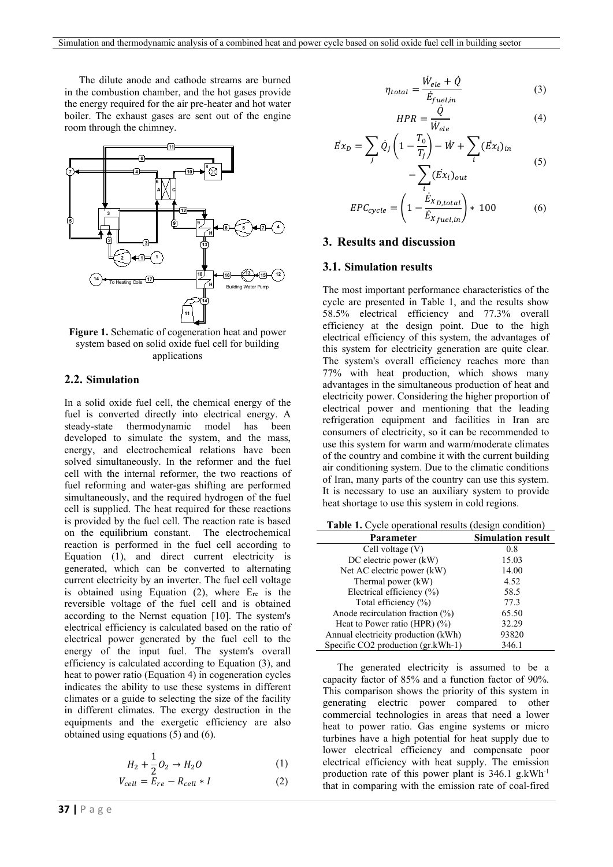The dilute anode and cathode streams are burned in the combustion chamber, and the hot gases provide the energy required for the air pre-heater and hot water boiler. The exhaust gases are sent out of the engine room through the chimney.



**Figure 1.** Schematic of cogeneration heat and power system based on solid oxide fuel cell for building applications

# **2.2. Simulation**

In a solid oxide fuel cell, the chemical energy of the fuel is converted directly into electrical energy. A steady-state thermodynamic model has been developed to simulate the system, and the mass, energy, and electrochemical relations have been solved simultaneously. In the reformer and the fuel cell with the internal reformer, the two reactions of fuel reforming and water-gas shifting are performed simultaneously, and the required hydrogen of the fuel cell is supplied. The heat required for these reactions is provided by the fuel cell. The reaction rate is based on the equilibrium constant. The electrochemical reaction is performed in the fuel cell according to Equation (1), and direct current electricity is generated, which can be converted to alternating current electricity by an inverter. The fuel cell voltage is obtained using Equation  $(2)$ , where  $E_{re}$  is the reversible voltage of the fuel cell and is obtained according to the Nernst equation [10]. The system's electrical efficiency is calculated based on the ratio of electrical power generated by the fuel cell to the energy of the input fuel. The system's overall efficiency is calculated according to Equation (3), and heat to power ratio (Equation 4) in cogeneration cycles indicates the ability to use these systems in different climates or a guide to selecting the size of the facility in different climates. The exergy destruction in the equipments and the exergetic efficiency are also obtained using equations (5) and (6).

$$
H_2 + \frac{1}{2}O_2 \to H_2O \tag{1}
$$

$$
V_{cell} = E_{re} - R_{cell} * I \tag{2}
$$

$$
\eta_{total} = \frac{\dot{W}_{ele} + \dot{Q}}{\dot{E}_{fuel,in}} \tag{3}
$$

$$
HPR = \frac{\dot{Q}}{\dot{W}_{ele}}\tag{4}
$$

$$
\vec{E}x_D = \sum_j \dot{Q}_j \left( 1 - \frac{T_0}{T_j} \right) - \dot{W} + \sum_i (\vec{E}x_i)_{in} - \sum (\vec{E}x_i)_{out} \tag{5}
$$

$$
EPC_{cycle} = \left(1 - \frac{\dot{E}_{X_{D,total}}}{\dot{E}_{X_{fuel,in}}}\right) * 100 \tag{6}
$$

# **3. Results and discussion**

#### **3.1. Simulation results**

The most important performance characteristics of the cycle are presented in Table 1, and the results show 58.5% electrical efficiency and 77.3% overall efficiency at the design point. Due to the high electrical efficiency of this system, the advantages of this system for electricity generation are quite clear. The system's overall efficiency reaches more than 77% with heat production, which shows many advantages in the simultaneous production of heat and electricity power. Considering the higher proportion of electrical power and mentioning that the leading refrigeration equipment and facilities in Iran are consumers of electricity, so it can be recommended to use this system for warm and warm/moderate climates of the country and combine it with the current building air conditioning system. Due to the climatic conditions of Iran, many parts of the country can use this system. It is necessary to use an auxiliary system to provide heat shortage to use this system in cold regions.

| <b>Table 1.</b> Cycle operational results (design condition) |                          |  |
|--------------------------------------------------------------|--------------------------|--|
| Parameter                                                    | <b>Simulation result</b> |  |
| Cell voltage $(V)$                                           | 0.8                      |  |
| DC electric power (kW)                                       | 15.03                    |  |
| Net AC electric power (kW)                                   | 14.00                    |  |
| Thermal power (kW)                                           | 4.52                     |  |
| Electrical efficiency (%)                                    | 58.5                     |  |
| Total efficiency (%)                                         | 77.3                     |  |
| Anode recirculation fraction $(\%)$                          | 65.50                    |  |
| Heat to Power ratio (HPR) $(\%)$                             | 32.29                    |  |
| Annual electricity production (kWh)                          | 93820                    |  |
| Specific $CO2$ production $(gr.kWh-1)$                       | 346.1                    |  |

The generated electricity is assumed to be a capacity factor of 85% and a function factor of 90%. This comparison shows the priority of this system in generating electric power compared to other commercial technologies in areas that need a lower heat to power ratio. Gas engine systems or micro turbines have a high potential for heat supply due to lower electrical efficiency and compensate poor electrical efficiency with heat supply. The emission production rate of this power plant is  $346.1$  g.kWh<sup>-1</sup> that in comparing with the emission rate of coal-fired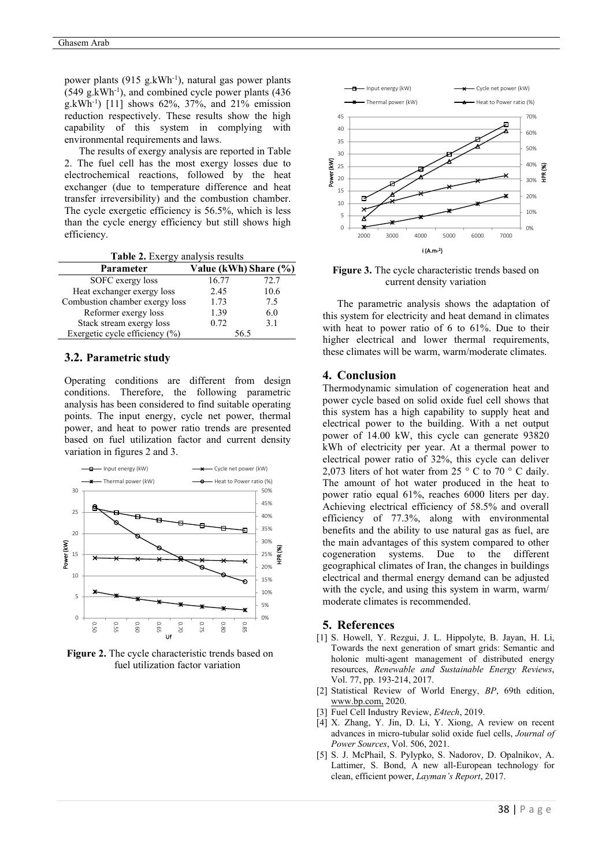power plants  $(915 \text{ g.kWh}^{-1})$ , natural gas power plants  $(549 \text{ g.kWh}^{-1})$ , and combined cycle power plants  $(436 \text{ g.kWh}^{-1})$ g.kWh<sup>-1</sup>) [11] shows 62%, 37%, and 21% emission reduction respectively. These results show the high capability of this system in complying with environmental requirements and laws.

The results of exergy analysis are reported in Table 2. The fuel cell has the most exergy losses due to electrochemical reactions, followed by the heat exchanger (due to temperature difference and heat transfer irreversibility) and the combustion chamber. The cycle exergetic efficiency is 56.5%, which is less than the cycle energy efficiency but still shows high efficiency.

**Table 2.** Exergy analysis results

| Parameter                      | Value (kWh) Share (%) |      |
|--------------------------------|-----------------------|------|
| SOFC exergy loss               | 16.77                 | 72.7 |
| Heat exchanger exergy loss     | 2.45                  | 10.6 |
| Combustion chamber exergy loss | 1.73                  | 7.5  |
| Reformer exergy loss           | 1.39                  | 6.0  |
| Stack stream exergy loss       | 0.72                  | 3.1  |
| Exergetic cycle efficiency (%) | 56.5                  |      |

#### **3.2. Parametric study**

Operating conditions are different from design conditions. Therefore, the following parametric analysis has been considered to find suitable operating points. The input energy, cycle net power, thermal power, and heat to power ratio trends are presented based on fuel utilization factor and current density variation in figures 2 and 3.



**Figure 2.** The cycle characteristic trends based on fuel utilization factor variation



**Figure 3.** The cycle characteristic trends based on current density variation

The parametric analysis shows the adaptation of this system for electricity and heat demand in climates with heat to power ratio of 6 to 61%. Due to their higher electrical and lower thermal requirements, these climates will be warm, warm/moderate climates.

## **4. Conclusion**

Thermodynamic simulation of cogeneration heat and power cycle based on solid oxide fuel cell shows that this system has a high capability to supply heat and electrical power to the building. With a net output power of 14.00 kW, this cycle can generate 93820 kWh of electricity per year. At a thermal power to electrical power ratio of 32%, this cycle can deliver 2.073 liters of hot water from  $25^\circ$  C to  $70^\circ$  C daily. The amount of hot water produced in the heat to power ratio equal 61%, reaches 6000 liters per day. Achieving electrical efficiency of 58.5% and overall efficiency of 77.3%, along with environmental benefits and the ability to use natural gas as fuel, are the main advantages of this system compared to other cogeneration systems. Due to the different geographical climates of Iran, the changes in buildings electrical and thermal energy demand can be adjusted with the cycle, and using this system in warm, warm/ moderate climates is recommended.

#### **5. References**

- [1] S. Howell, Y. Rezgui, J. L. Hippolyte, B. Jayan, H. Li, Towards the next generation of smart grids: Semantic and holonic multi-agent management of distributed energy resources, *Renewable and Sustainable Energy Reviews*, Vol. 77, pp. 193-214, 2017.
- [2] Statistical Review of World Energy, *BP*, 69th edition, [www.bp.com,](http://www.bp.com/) 2020.
- [3] Fuel Cell Industry Review, *E4tech*, 2019.
- [4] X. Zhang, Y. Jin, D. Li, Y. Xiong, A review on recent advances in micro-tubular solid oxide fuel cells, *Journal of Power Sources*, Vol. 506, 2021.
- [5] S. J. McPhail, S. Pylypko, S. Nadorov, D. Opalnikov, A. Lattimer, S. Bond, A new all-European technology for clean, efficient power, *Layman's Report*, 2017.